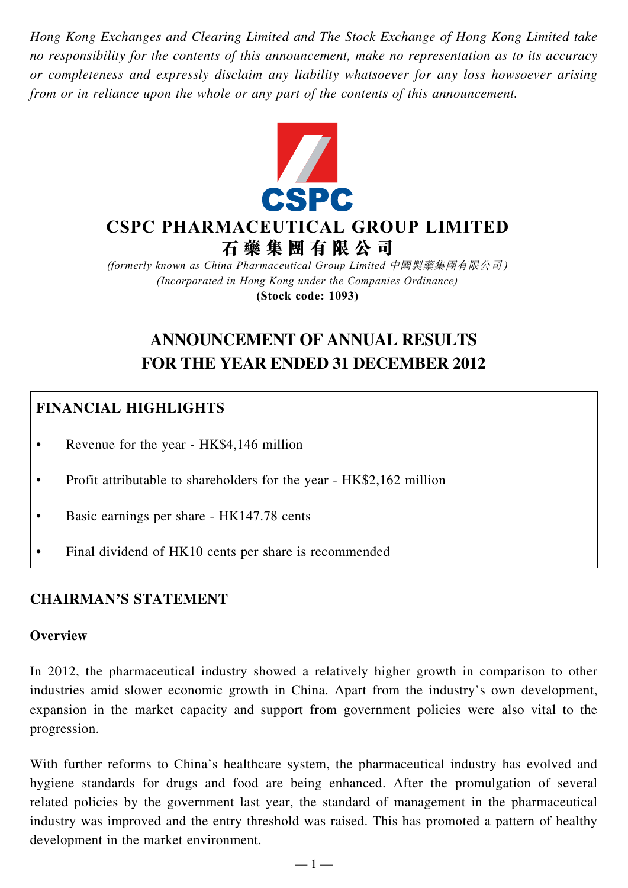*Hong Kong Exchanges and Clearing Limited and The Stock Exchange of Hong Kong Limited take no responsibility for the contents of this announcement, make no representation as to its accuracy or completeness and expressly disclaim any liability whatsoever for any loss howsoever arising from or in reliance upon the whole or any part of the contents of this announcement.*



# **CSPC PHARMACEUTICAL GROUP LIMITED 石 藥 集 團 有 限 公 司**

*(formerly known as China Pharmaceutical Group Limited* 中國製藥集團有限公司 *) (Incorporated in Hong Kong under the Companies Ordinance)* **(Stock code: 1093)**

# **ANNOUNCEMENT OF ANNUAL RESULTS FOR THE YEAR ENDED 31 DECEMBER 2012**

# **FINANCIAL HIGHLIGHTS**

- Revenue for the year HK\$4,146 million
- Profit attributable to shareholders for the year HK\$2,162 million
- Basic earnings per share HK147.78 cents
- Final dividend of HK10 cents per share is recommended

### **CHAIRMAN'S STATEMENT**

#### **Overview**

In 2012, the pharmaceutical industry showed a relatively higher growth in comparison to other industries amid slower economic growth in China. Apart from the industry's own development, expansion in the market capacity and support from government policies were also vital to the progression.

With further reforms to China's healthcare system, the pharmaceutical industry has evolved and hygiene standards for drugs and food are being enhanced. After the promulgation of several related policies by the government last year, the standard of management in the pharmaceutical industry was improved and the entry threshold was raised. This has promoted a pattern of healthy development in the market environment.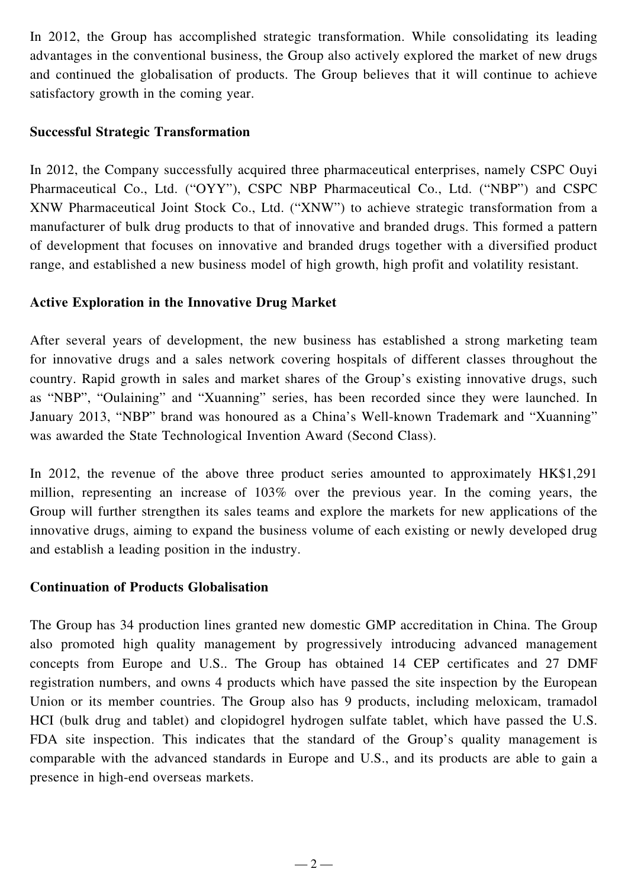In 2012, the Group has accomplished strategic transformation. While consolidating its leading advantages in the conventional business, the Group also actively explored the market of new drugs and continued the globalisation of products. The Group believes that it will continue to achieve satisfactory growth in the coming year.

### **Successful Strategic Transformation**

In 2012, the Company successfully acquired three pharmaceutical enterprises, namely CSPC Ouyi Pharmaceutical Co., Ltd. ("OYY"), CSPC NBP Pharmaceutical Co., Ltd. ("NBP") and CSPC XNW Pharmaceutical Joint Stock Co., Ltd. ("XNW") to achieve strategic transformation from a manufacturer of bulk drug products to that of innovative and branded drugs. This formed a pattern of development that focuses on innovative and branded drugs together with a diversified product range, and established a new business model of high growth, high profit and volatility resistant.

### **Active Exploration in the Innovative Drug Market**

After several years of development, the new business has established a strong marketing team for innovative drugs and a sales network covering hospitals of different classes throughout the country. Rapid growth in sales and market shares of the Group's existing innovative drugs, such as "NBP", "Oulaining" and "Xuanning" series, has been recorded since they were launched. In January 2013, "NBP" brand was honoured as a China's Well-known Trademark and "Xuanning" was awarded the State Technological Invention Award (Second Class).

In 2012, the revenue of the above three product series amounted to approximately HK\$1,291 million, representing an increase of 103% over the previous year. In the coming years, the Group will further strengthen its sales teams and explore the markets for new applications of the innovative drugs, aiming to expand the business volume of each existing or newly developed drug and establish a leading position in the industry.

#### **Continuation of Products Globalisation**

The Group has 34 production lines granted new domestic GMP accreditation in China. The Group also promoted high quality management by progressively introducing advanced management concepts from Europe and U.S.. The Group has obtained 14 CEP certificates and 27 DMF registration numbers, and owns 4 products which have passed the site inspection by the European Union or its member countries. The Group also has 9 products, including meloxicam, tramadol HCI (bulk drug and tablet) and clopidogrel hydrogen sulfate tablet, which have passed the U.S. FDA site inspection. This indicates that the standard of the Group's quality management is comparable with the advanced standards in Europe and U.S., and its products are able to gain a presence in high-end overseas markets.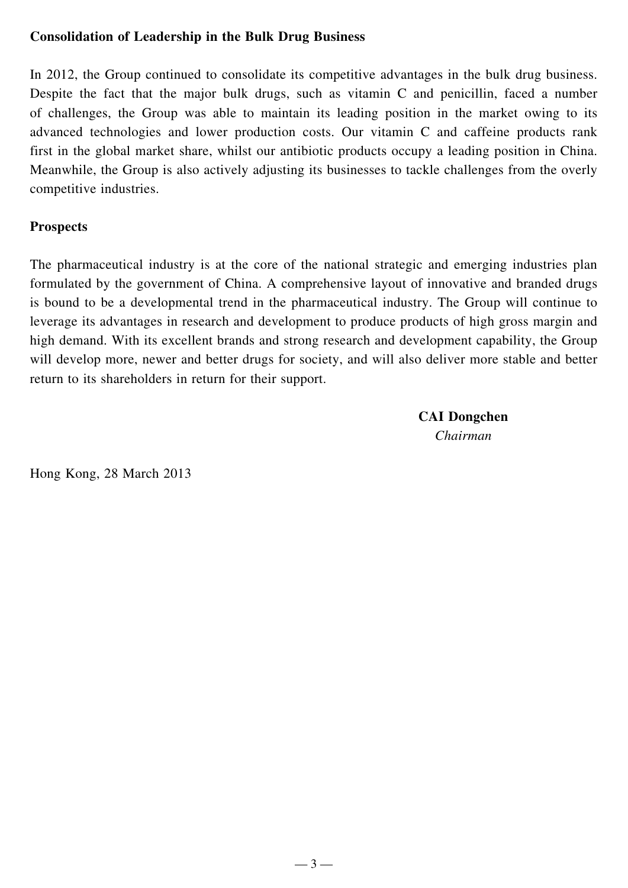### **Consolidation of Leadership in the Bulk Drug Business**

In 2012, the Group continued to consolidate its competitive advantages in the bulk drug business. Despite the fact that the major bulk drugs, such as vitamin C and penicillin, faced a number of challenges, the Group was able to maintain its leading position in the market owing to its advanced technologies and lower production costs. Our vitamin C and caffeine products rank first in the global market share, whilst our antibiotic products occupy a leading position in China. Meanwhile, the Group is also actively adjusting its businesses to tackle challenges from the overly competitive industries.

### **Prospects**

The pharmaceutical industry is at the core of the national strategic and emerging industries plan formulated by the government of China. A comprehensive layout of innovative and branded drugs is bound to be a developmental trend in the pharmaceutical industry. The Group will continue to leverage its advantages in research and development to produce products of high gross margin and high demand. With its excellent brands and strong research and development capability, the Group will develop more, newer and better drugs for society, and will also deliver more stable and better return to its shareholders in return for their support.

> **CAI Dongchen** *Chairman*

Hong Kong, 28 March 2013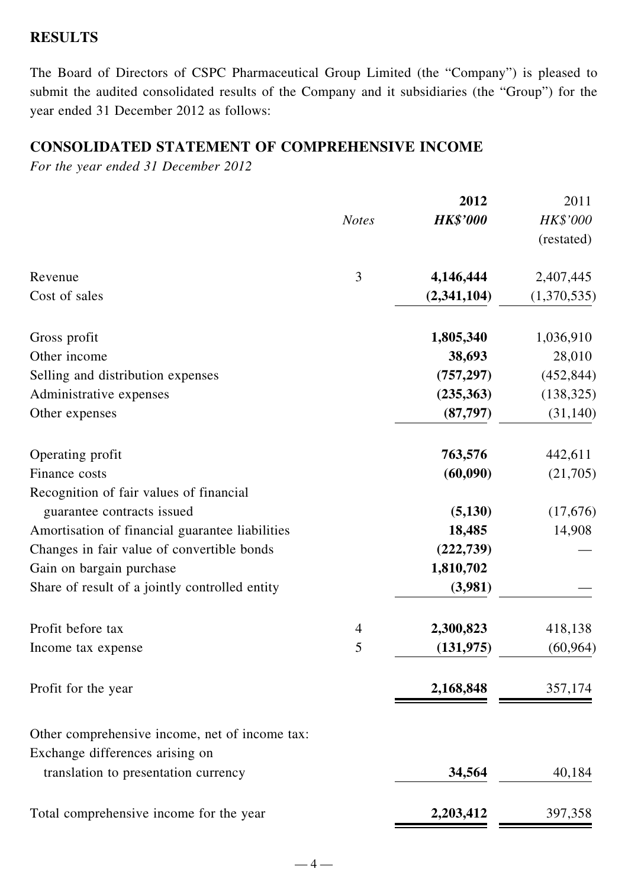#### **RESULTS**

The Board of Directors of CSPC Pharmaceutical Group Limited (the "Company") is pleased to submit the audited consolidated results of the Company and it subsidiaries (the "Group") for the year ended 31 December 2012 as follows:

### **CONSOLIDATED STATEMENT OF COMPREHENSIVE INCOME**

*For the year ended 31 December 2012*

|                                                 |                | 2012            | 2011                          |
|-------------------------------------------------|----------------|-----------------|-------------------------------|
|                                                 | <b>Notes</b>   | <b>HK\$'000</b> | <b>HK\$'000</b><br>(restated) |
| Revenue                                         | 3              | 4,146,444       | 2,407,445                     |
| Cost of sales                                   |                | (2,341,104)     | (1,370,535)                   |
| Gross profit                                    |                | 1,805,340       | 1,036,910                     |
| Other income                                    |                | 38,693          | 28,010                        |
| Selling and distribution expenses               |                | (757, 297)      | (452, 844)                    |
| Administrative expenses                         |                | (235,363)       | (138, 325)                    |
| Other expenses                                  |                | (87,797)        | (31, 140)                     |
| Operating profit                                |                | 763,576         | 442,611                       |
| Finance costs                                   |                | (60,090)        | (21,705)                      |
| Recognition of fair values of financial         |                |                 |                               |
| guarantee contracts issued                      |                | (5,130)         | (17,676)                      |
| Amortisation of financial guarantee liabilities |                | 18,485          | 14,908                        |
| Changes in fair value of convertible bonds      |                | (222, 739)      |                               |
| Gain on bargain purchase                        |                | 1,810,702       |                               |
| Share of result of a jointly controlled entity  |                | (3,981)         |                               |
| Profit before tax                               | $\overline{4}$ | 2,300,823       | 418,138                       |
| Income tax expense                              | 5              | (131, 975)      | (60, 964)                     |
| Profit for the year                             |                | 2,168,848       | 357,174                       |
| Other comprehensive income, net of income tax:  |                |                 |                               |
| Exchange differences arising on                 |                |                 |                               |
| translation to presentation currency            |                | 34,564          | 40,184                        |
| Total comprehensive income for the year         |                | 2,203,412       | 397,358                       |
|                                                 |                |                 |                               |

 $-4-$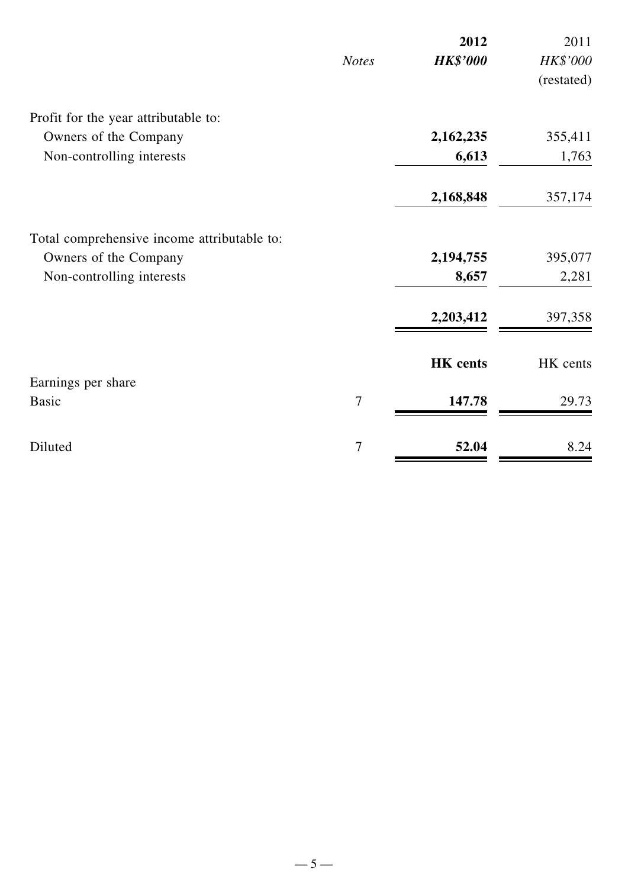|                                             |                | 2012            | 2011       |
|---------------------------------------------|----------------|-----------------|------------|
|                                             | <b>Notes</b>   | <b>HK\$'000</b> | HK\$'000   |
|                                             |                |                 | (restated) |
| Profit for the year attributable to:        |                |                 |            |
| Owners of the Company                       |                | 2,162,235       | 355,411    |
| Non-controlling interests                   |                | 6,613           | 1,763      |
|                                             |                | 2,168,848       | 357,174    |
| Total comprehensive income attributable to: |                |                 |            |
| Owners of the Company                       |                | 2,194,755       | 395,077    |
| Non-controlling interests                   |                | 8,657           | 2,281      |
|                                             |                | 2,203,412       | 397,358    |
|                                             |                | <b>HK</b> cents | HK cents   |
| Earnings per share                          |                |                 |            |
| <b>Basic</b>                                | $\overline{7}$ | 147.78          | 29.73      |
| Diluted                                     | 7              | 52.04           | 8.24       |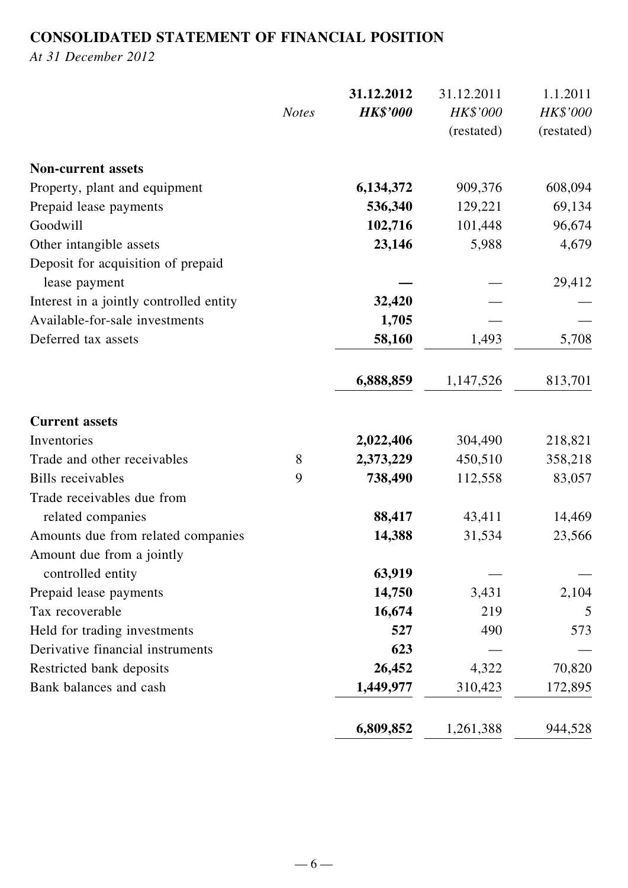## **CONSOLIDATED STATEMENT OF FINANCIAL POSITION**

*At 31 December 2012*

|                                                     |              | 31.12.2012      | 31.12.2011 | 1.1.2011   |
|-----------------------------------------------------|--------------|-----------------|------------|------------|
|                                                     | <b>Notes</b> | <b>HK\$'000</b> | HK\$'000   | HK\$'000   |
|                                                     |              |                 | (restated) | (restated) |
| <b>Non-current assets</b>                           |              |                 |            |            |
| Property, plant and equipment                       |              | 6,134,372       | 909,376    | 608,094    |
| Prepaid lease payments                              |              | 536,340         | 129,221    | 69,134     |
| Goodwill                                            |              | 102,716         | 101,448    | 96,674     |
| Other intangible assets                             |              | 23,146          | 5,988      | 4,679      |
| Deposit for acquisition of prepaid<br>lease payment |              |                 |            | 29,412     |
| Interest in a jointly controlled entity             |              | 32,420          |            |            |
| Available-for-sale investments                      |              | 1,705           |            |            |
| Deferred tax assets                                 |              | 58,160          | 1,493      | 5,708      |
|                                                     |              |                 |            |            |
|                                                     |              | 6,888,859       | 1,147,526  | 813,701    |
| <b>Current assets</b>                               |              |                 |            |            |
| Inventories                                         |              | 2,022,406       | 304,490    | 218,821    |
| Trade and other receivables                         | 8            | 2,373,229       | 450,510    | 358,218    |
| <b>Bills</b> receivables                            | 9            | 738,490         | 112,558    | 83,057     |
| Trade receivables due from                          |              |                 |            |            |
| related companies                                   |              | 88,417          | 43,411     | 14,469     |
| Amounts due from related companies                  |              | 14,388          | 31,534     | 23,566     |
| Amount due from a jointly                           |              |                 |            |            |
| controlled entity                                   |              | 63,919          |            |            |
| Prepaid lease payments                              |              | 14,750          | 3,431      | 2,104      |
| Tax recoverable                                     |              | 16,674          | 219        | 5          |
| Held for trading investments                        |              | 527             | 490        | 573        |
| Derivative financial instruments                    |              | 623             |            |            |
| Restricted bank deposits                            |              | 26,452          | 4,322      | 70,820     |
| Bank balances and cash                              |              | 1,449,977       | 310,423    | 172,895    |
|                                                     |              |                 |            |            |
|                                                     |              | 6,809,852       | 1,261,388  | 944,528    |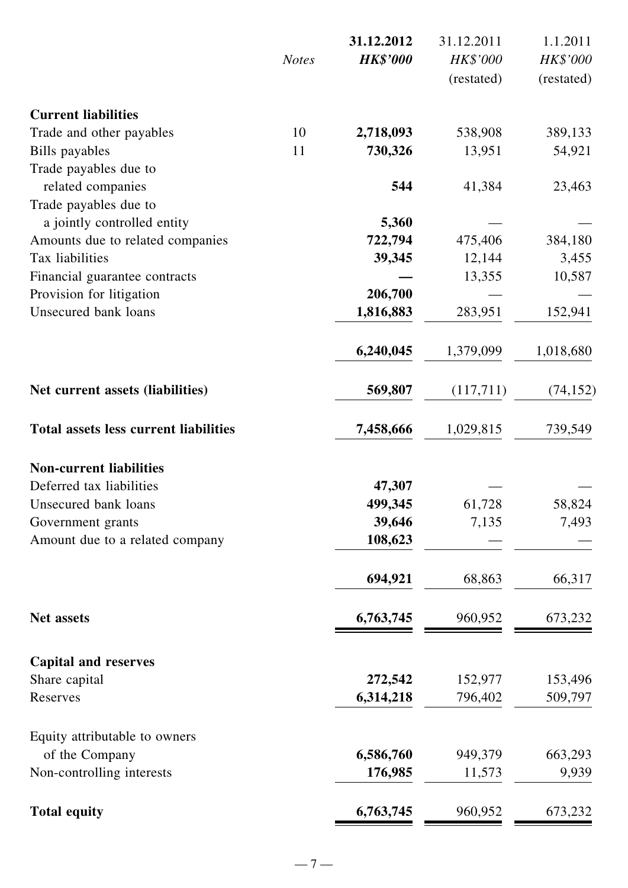|                                              |              | 31.12.2012      | 31.12.2011 | 1.1.2011   |
|----------------------------------------------|--------------|-----------------|------------|------------|
|                                              | <b>Notes</b> | <b>HK\$'000</b> | HK\$'000   | HK\$'000   |
|                                              |              |                 | (restated) | (restated) |
| <b>Current liabilities</b>                   |              |                 |            |            |
| Trade and other payables                     | 10           | 2,718,093       | 538,908    | 389,133    |
| Bills payables                               | 11           | 730,326         | 13,951     | 54,921     |
| Trade payables due to                        |              |                 |            |            |
| related companies                            |              | 544             | 41,384     | 23,463     |
| Trade payables due to                        |              |                 |            |            |
| a jointly controlled entity                  |              | 5,360           |            |            |
| Amounts due to related companies             |              | 722,794         | 475,406    | 384,180    |
| Tax liabilities                              |              | 39,345          | 12,144     | 3,455      |
| Financial guarantee contracts                |              |                 | 13,355     | 10,587     |
| Provision for litigation                     |              | 206,700         |            |            |
| Unsecured bank loans                         |              | 1,816,883       | 283,951    | 152,941    |
|                                              |              | 6,240,045       | 1,379,099  | 1,018,680  |
| Net current assets (liabilities)             |              | 569,807         | (117,711)  | (74, 152)  |
| <b>Total assets less current liabilities</b> |              | 7,458,666       | 1,029,815  | 739,549    |
| <b>Non-current liabilities</b>               |              |                 |            |            |
| Deferred tax liabilities                     |              | 47,307          |            |            |
| Unsecured bank loans                         |              | 499,345         | 61,728     | 58,824     |
| Government grants                            |              | 39,646          | 7,135      | 7,493      |
| Amount due to a related company              |              | 108,623         |            |            |
|                                              |              | 694,921         | 68,863     | 66,317     |
| <b>Net assets</b>                            |              | 6,763,745       | 960,952    | 673,232    |
|                                              |              |                 |            |            |
| <b>Capital and reserves</b>                  |              |                 |            |            |
| Share capital                                |              | 272,542         | 152,977    | 153,496    |
| Reserves                                     |              | 6,314,218       | 796,402    | 509,797    |
| Equity attributable to owners                |              |                 |            |            |
| of the Company                               |              | 6,586,760       | 949,379    | 663,293    |
| Non-controlling interests                    |              | 176,985         | 11,573     | 9,939      |
| <b>Total equity</b>                          |              | 6,763,745       | 960,952    | 673,232    |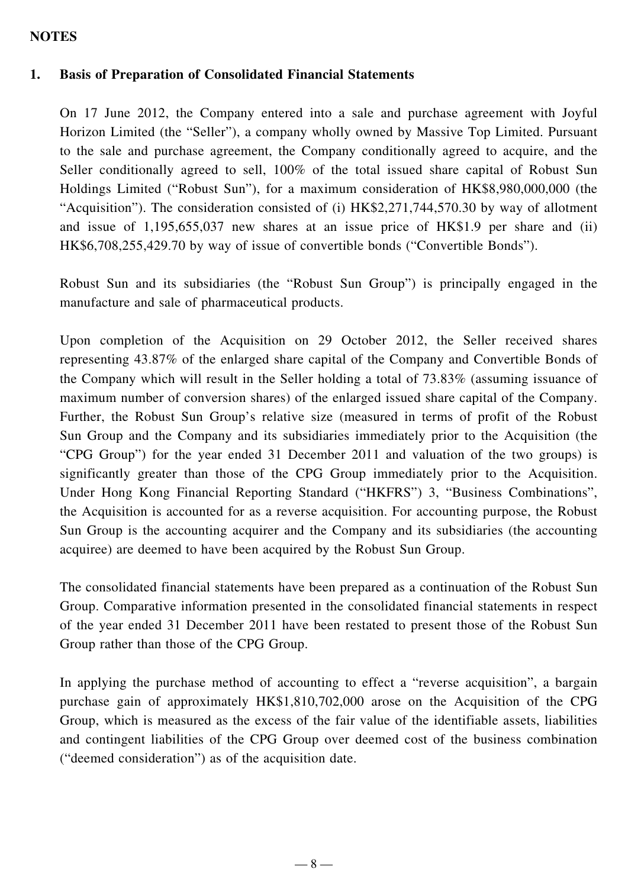#### **NOTES**

### **1. Basis of Preparation of Consolidated Financial Statements**

On 17 June 2012, the Company entered into a sale and purchase agreement with Joyful Horizon Limited (the "Seller"), a company wholly owned by Massive Top Limited. Pursuant to the sale and purchase agreement, the Company conditionally agreed to acquire, and the Seller conditionally agreed to sell, 100% of the total issued share capital of Robust Sun Holdings Limited ("Robust Sun"), for a maximum consideration of HK\$8,980,000,000 (the "Acquisition"). The consideration consisted of (i) HK\$2,271,744,570.30 by way of allotment and issue of 1,195,655,037 new shares at an issue price of HK\$1.9 per share and (ii) HK\$6,708,255,429.70 by way of issue of convertible bonds ("Convertible Bonds").

Robust Sun and its subsidiaries (the "Robust Sun Group") is principally engaged in the manufacture and sale of pharmaceutical products.

Upon completion of the Acquisition on 29 October 2012, the Seller received shares representing 43.87% of the enlarged share capital of the Company and Convertible Bonds of the Company which will result in the Seller holding a total of 73.83% (assuming issuance of maximum number of conversion shares) of the enlarged issued share capital of the Company. Further, the Robust Sun Group's relative size (measured in terms of profit of the Robust Sun Group and the Company and its subsidiaries immediately prior to the Acquisition (the "CPG Group") for the year ended 31 December 2011 and valuation of the two groups) is significantly greater than those of the CPG Group immediately prior to the Acquisition. Under Hong Kong Financial Reporting Standard ("HKFRS") 3, "Business Combinations", the Acquisition is accounted for as a reverse acquisition. For accounting purpose, the Robust Sun Group is the accounting acquirer and the Company and its subsidiaries (the accounting acquiree) are deemed to have been acquired by the Robust Sun Group.

The consolidated financial statements have been prepared as a continuation of the Robust Sun Group. Comparative information presented in the consolidated financial statements in respect of the year ended 31 December 2011 have been restated to present those of the Robust Sun Group rather than those of the CPG Group.

In applying the purchase method of accounting to effect a "reverse acquisition", a bargain purchase gain of approximately HK\$1,810,702,000 arose on the Acquisition of the CPG Group, which is measured as the excess of the fair value of the identifiable assets, liabilities and contingent liabilities of the CPG Group over deemed cost of the business combination ("deemed consideration") as of the acquisition date.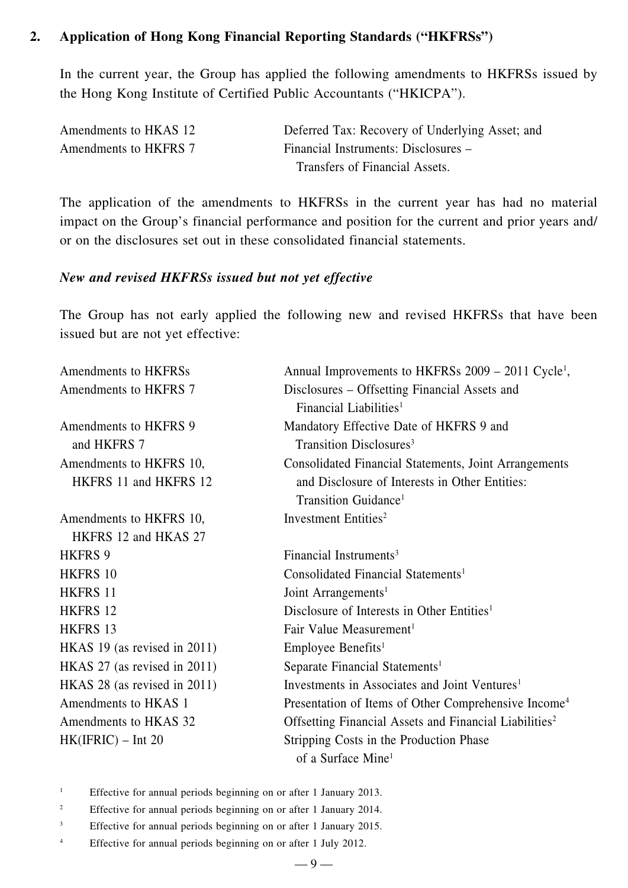### **2. Application of Hong Kong Financial Reporting Standards ("HKFRSs")**

In the current year, the Group has applied the following amendments to HKFRSs issued by the Hong Kong Institute of Certified Public Accountants ("HKICPA").

| Amendments to HKAS 12 | Deferred Tax: Recovery of Underlying Asset; and |
|-----------------------|-------------------------------------------------|
| Amendments to HKFRS 7 | Financial Instruments: Disclosures –            |
|                       | Transfers of Financial Assets.                  |

The application of the amendments to HKFRSs in the current year has had no material impact on the Group's financial performance and position for the current and prior years and/ or on the disclosures set out in these consolidated financial statements.

#### *New and revised HKFRSs issued but not yet effective*

The Group has not early applied the following new and revised HKFRSs that have been issued but are not yet effective:

| Amendments to HKFRSs         | Annual Improvements to HKFRSs 2009 – 2011 Cycle <sup>1</sup> ,     |
|------------------------------|--------------------------------------------------------------------|
| Amendments to HKFRS 7        | Disclosures – Offsetting Financial Assets and                      |
|                              | Financial Liabilities <sup>1</sup>                                 |
| Amendments to HKFRS 9        | Mandatory Effective Date of HKFRS 9 and                            |
| and HKFRS 7                  | Transition Disclosures <sup>3</sup>                                |
| Amendments to HKFRS 10,      | <b>Consolidated Financial Statements, Joint Arrangements</b>       |
| HKFRS 11 and HKFRS 12        | and Disclosure of Interests in Other Entities:                     |
|                              | Transition Guidance <sup>1</sup>                                   |
| Amendments to HKFRS 10,      | Investment Entities <sup>2</sup>                                   |
| HKFRS 12 and HKAS 27         |                                                                    |
| HKFRS 9                      | Financial Instruments <sup>3</sup>                                 |
| HKFRS 10                     | Consolidated Financial Statements <sup>1</sup>                     |
| HKFRS 11                     | Joint Arrangements <sup>1</sup>                                    |
| HKFRS 12                     | Disclosure of Interests in Other Entities <sup>1</sup>             |
| HKFRS 13                     | Fair Value Measurement <sup>1</sup>                                |
| HKAS 19 (as revised in 2011) | Employee Benefits <sup>1</sup>                                     |
| HKAS 27 (as revised in 2011) | Separate Financial Statements <sup>1</sup>                         |
| HKAS 28 (as revised in 2011) | Investments in Associates and Joint Ventures <sup>1</sup>          |
| Amendments to HKAS 1         | Presentation of Items of Other Comprehensive Income <sup>4</sup>   |
| Amendments to HKAS 32        | Offsetting Financial Assets and Financial Liabilities <sup>2</sup> |
| $HK(IFRIC) - Int 20$         | Stripping Costs in the Production Phase                            |
|                              | of a Surface Mine <sup>1</sup>                                     |

- <sup>1</sup> Effective for annual periods beginning on or after 1 January 2013.
- <sup>2</sup> Effective for annual periods beginning on or after 1 January 2014.
- <sup>3</sup> Effective for annual periods beginning on or after 1 January 2015.
- <sup>4</sup> Effective for annual periods beginning on or after 1 July 2012.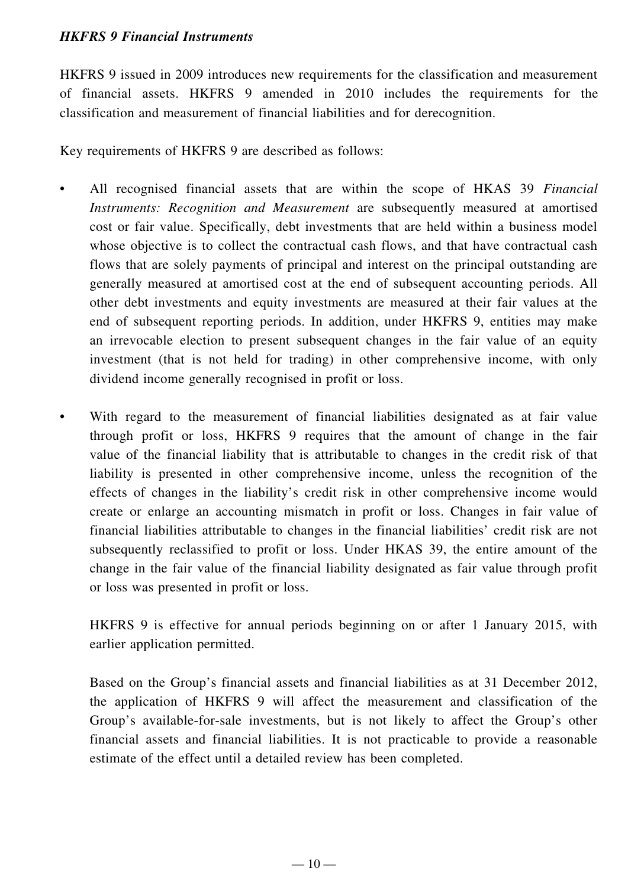### *HKFRS 9 Financial Instruments*

HKFRS 9 issued in 2009 introduces new requirements for the classification and measurement of financial assets. HKFRS 9 amended in 2010 includes the requirements for the classification and measurement of financial liabilities and for derecognition.

Key requirements of HKFRS 9 are described as follows:

- All recognised financial assets that are within the scope of HKAS 39 *Financial Instruments: Recognition and Measurement* are subsequently measured at amortised cost or fair value. Specifically, debt investments that are held within a business model whose objective is to collect the contractual cash flows, and that have contractual cash flows that are solely payments of principal and interest on the principal outstanding are generally measured at amortised cost at the end of subsequent accounting periods. All other debt investments and equity investments are measured at their fair values at the end of subsequent reporting periods. In addition, under HKFRS 9, entities may make an irrevocable election to present subsequent changes in the fair value of an equity investment (that is not held for trading) in other comprehensive income, with only dividend income generally recognised in profit or loss.
- With regard to the measurement of financial liabilities designated as at fair value through profit or loss, HKFRS 9 requires that the amount of change in the fair value of the financial liability that is attributable to changes in the credit risk of that liability is presented in other comprehensive income, unless the recognition of the effects of changes in the liability's credit risk in other comprehensive income would create or enlarge an accounting mismatch in profit or loss. Changes in fair value of financial liabilities attributable to changes in the financial liabilities' credit risk are not subsequently reclassified to profit or loss. Under HKAS 39, the entire amount of the change in the fair value of the financial liability designated as fair value through profit or loss was presented in profit or loss.

HKFRS 9 is effective for annual periods beginning on or after 1 January 2015, with earlier application permitted.

Based on the Group's financial assets and financial liabilities as at 31 December 2012, the application of HKFRS 9 will affect the measurement and classification of the Group's available-for-sale investments, but is not likely to affect the Group's other financial assets and financial liabilities. It is not practicable to provide a reasonable estimate of the effect until a detailed review has been completed.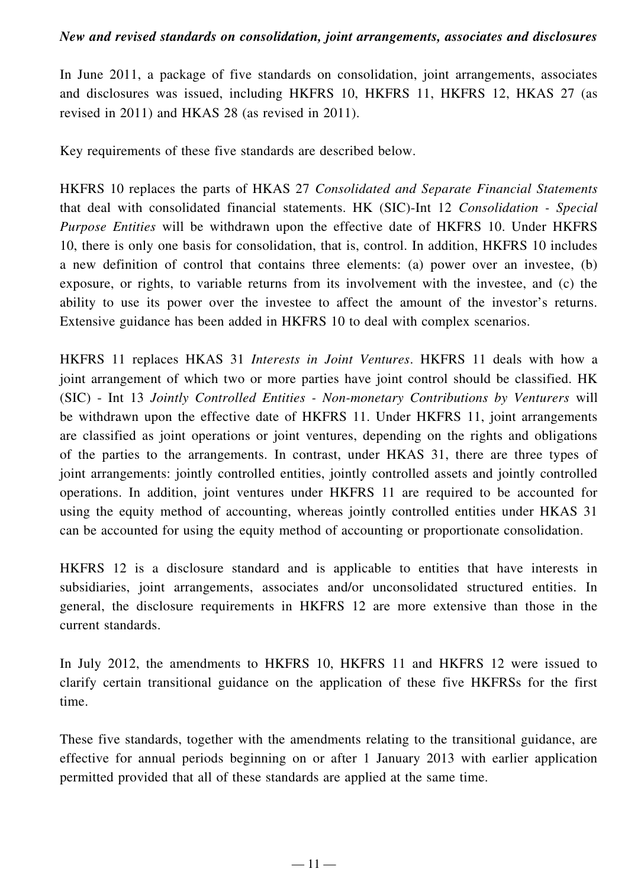#### *New and revised standards on consolidation, joint arrangements, associates and disclosures*

In June 2011, a package of five standards on consolidation, joint arrangements, associates and disclosures was issued, including HKFRS 10, HKFRS 11, HKFRS 12, HKAS 27 (as revised in 2011) and HKAS 28 (as revised in 2011).

Key requirements of these five standards are described below.

HKFRS 10 replaces the parts of HKAS 27 *Consolidated and Separate Financial Statements*  that deal with consolidated financial statements. HK (SIC)-Int 12 *Consolidation - Special Purpose Entities* will be withdrawn upon the effective date of HKFRS 10. Under HKFRS 10, there is only one basis for consolidation, that is, control. In addition, HKFRS 10 includes a new definition of control that contains three elements: (a) power over an investee, (b) exposure, or rights, to variable returns from its involvement with the investee, and (c) the ability to use its power over the investee to affect the amount of the investor's returns. Extensive guidance has been added in HKFRS 10 to deal with complex scenarios.

HKFRS 11 replaces HKAS 31 *Interests in Joint Ventures*. HKFRS 11 deals with how a joint arrangement of which two or more parties have joint control should be classified. HK (SIC) - Int 13 *Jointly Controlled Entities - Non-monetary Contributions by Venturers* will be withdrawn upon the effective date of HKFRS 11. Under HKFRS 11, joint arrangements are classified as joint operations or joint ventures, depending on the rights and obligations of the parties to the arrangements. In contrast, under HKAS 31, there are three types of joint arrangements: jointly controlled entities, jointly controlled assets and jointly controlled operations. In addition, joint ventures under HKFRS 11 are required to be accounted for using the equity method of accounting, whereas jointly controlled entities under HKAS 31 can be accounted for using the equity method of accounting or proportionate consolidation.

HKFRS 12 is a disclosure standard and is applicable to entities that have interests in subsidiaries, joint arrangements, associates and/or unconsolidated structured entities. In general, the disclosure requirements in HKFRS 12 are more extensive than those in the current standards.

In July 2012, the amendments to HKFRS 10, HKFRS 11 and HKFRS 12 were issued to clarify certain transitional guidance on the application of these five HKFRSs for the first time.

These five standards, together with the amendments relating to the transitional guidance, are effective for annual periods beginning on or after 1 January 2013 with earlier application permitted provided that all of these standards are applied at the same time.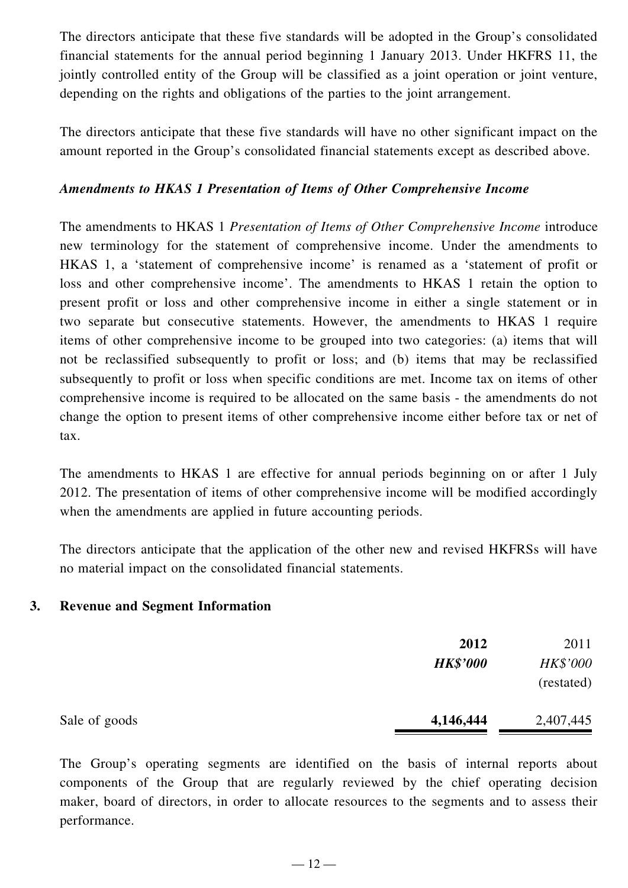The directors anticipate that these five standards will be adopted in the Group's consolidated financial statements for the annual period beginning 1 January 2013. Under HKFRS 11, the jointly controlled entity of the Group will be classified as a joint operation or joint venture, depending on the rights and obligations of the parties to the joint arrangement.

The directors anticipate that these five standards will have no other significant impact on the amount reported in the Group's consolidated financial statements except as described above.

#### *Amendments to HKAS 1 Presentation of Items of Other Comprehensive Income*

The amendments to HKAS 1 *Presentation of Items of Other Comprehensive Income* introduce new terminology for the statement of comprehensive income. Under the amendments to HKAS 1, a 'statement of comprehensive income' is renamed as a 'statement of profit or loss and other comprehensive income'. The amendments to HKAS 1 retain the option to present profit or loss and other comprehensive income in either a single statement or in two separate but consecutive statements. However, the amendments to HKAS 1 require items of other comprehensive income to be grouped into two categories: (a) items that will not be reclassified subsequently to profit or loss; and (b) items that may be reclassified subsequently to profit or loss when specific conditions are met. Income tax on items of other comprehensive income is required to be allocated on the same basis - the amendments do not change the option to present items of other comprehensive income either before tax or net of tax.

The amendments to HKAS 1 are effective for annual periods beginning on or after 1 July 2012. The presentation of items of other comprehensive income will be modified accordingly when the amendments are applied in future accounting periods.

The directors anticipate that the application of the other new and revised HKFRSs will have no material impact on the consolidated financial statements.

#### **3. Revenue and Segment Information**

|               | 2012<br><b>HK\$'000</b> | 2011<br><b>HK\$'000</b><br>(restated) |
|---------------|-------------------------|---------------------------------------|
| Sale of goods | 4,146,444               | 2,407,445                             |

The Group's operating segments are identified on the basis of internal reports about components of the Group that are regularly reviewed by the chief operating decision maker, board of directors, in order to allocate resources to the segments and to assess their performance.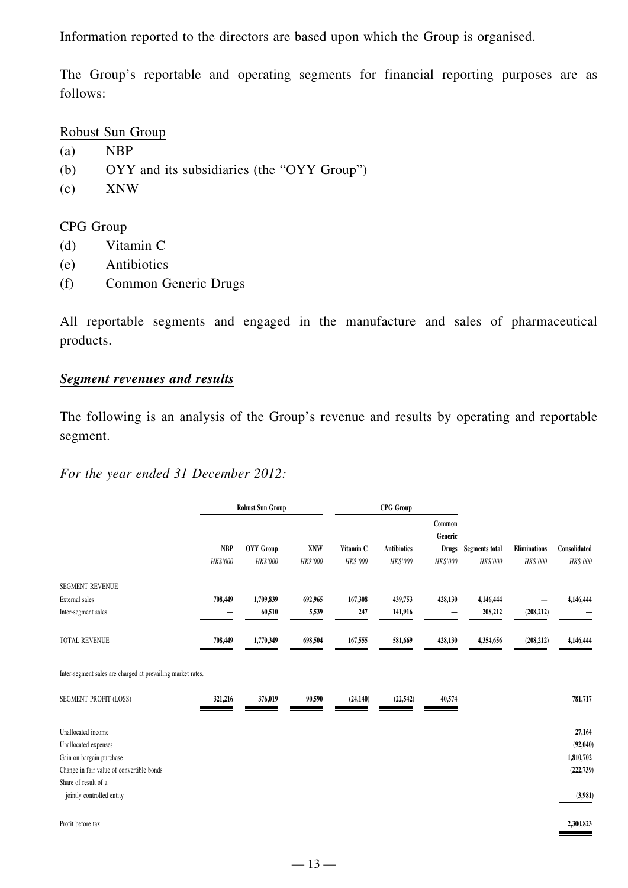Information reported to the directors are based upon which the Group is organised.

The Group's reportable and operating segments for financial reporting purposes are as follows:

Robust Sun Group

- (a) NBP
- (b) OYY and its subsidiaries (the "OYY Group")
- (c) XNW

#### CPG Group

- (d) Vitamin C
- (e) Antibiotics
- (f) Common Generic Drugs

All reportable segments and engaged in the manufacture and sales of pharmaceutical products.

### *Segment revenues and results*

The following is an analysis of the Group's revenue and results by operating and reportable segment.

*For the year ended 31 December 2012:*

|                                                             |                        | <b>Robust Sun Group</b>      |                 | <b>CPG</b> Group      |                                |                          |                                   |                                 |                          |
|-------------------------------------------------------------|------------------------|------------------------------|-----------------|-----------------------|--------------------------------|--------------------------|-----------------------------------|---------------------------------|--------------------------|
|                                                             |                        |                              |                 |                       |                                | Common<br>Generic        |                                   |                                 |                          |
|                                                             | <b>NBP</b><br>HK\$'000 | <b>OYY</b> Group<br>HK\$'000 | XNW<br>HK\$'000 | Vitamin C<br>HK\$'000 | <b>Antibiotics</b><br>HK\$'000 | <b>Drugs</b><br>HK\$'000 | <b>Segments total</b><br>HK\$'000 | <b>Eliminations</b><br>HK\$'000 | Consolidated<br>HK\$'000 |
|                                                             |                        |                              |                 |                       |                                |                          |                                   |                                 |                          |
| SEGMENT REVENUE                                             |                        |                              |                 |                       |                                |                          |                                   |                                 |                          |
| External sales                                              | 708,449                | 1,709,839                    | 692,965         | 167,308               | 439,753                        | 428,130                  | 4,146,444                         |                                 | 4,146,444                |
| Inter-segment sales                                         |                        | 60,510                       | 5,539           | 247                   | 141,916                        |                          | 208,212                           | (208, 212)                      |                          |
| TOTAL REVENUE                                               | 708,449                | 1,770,349                    | 698,504         | 167,555               | 581,669                        | 428,130                  | 4,354,656                         | (208, 212)                      | 4,146,444                |
| Inter-segment sales are charged at prevailing market rates. |                        |                              |                 |                       |                                |                          |                                   |                                 |                          |
| SEGMENT PROFIT (LOSS)                                       | 321,216                | 376,019                      | 90,590          | (24, 140)             | (22, 542)                      | 40,574                   |                                   |                                 | 781,717                  |
| Unallocated income                                          |                        |                              |                 |                       |                                |                          |                                   |                                 | 27,164                   |
| Unallocated expenses                                        |                        |                              |                 |                       |                                |                          |                                   |                                 | (92,040)                 |
| Gain on bargain purchase                                    |                        |                              |                 |                       |                                |                          |                                   |                                 | 1,810,702                |
| Change in fair value of convertible bonds                   |                        |                              |                 |                       |                                |                          |                                   |                                 | (222, 739)               |
| Share of result of a<br>jointly controlled entity           |                        |                              |                 |                       |                                |                          |                                   |                                 | (3,981)                  |
| Profit before tax                                           |                        |                              |                 |                       |                                |                          |                                   |                                 | 2,300,823                |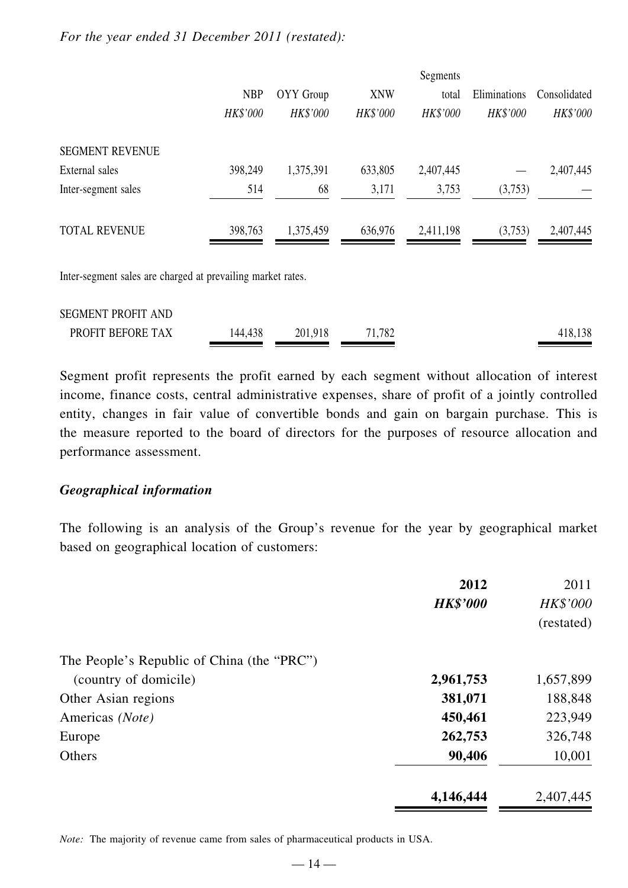#### *For the year ended 31 December 2011 (restated):*

|                        |                 |                 |                 | Segments  |                 |              |
|------------------------|-----------------|-----------------|-----------------|-----------|-----------------|--------------|
|                        | <b>NBP</b>      | OYY Group       | <b>XNW</b>      | total     | Eliminations    | Consolidated |
|                        | <b>HK\$'000</b> | <b>HK\$'000</b> | <b>HK\$'000</b> | HK\$'000  | <b>HK\$'000</b> | HK\$'000     |
| <b>SEGMENT REVENUE</b> |                 |                 |                 |           |                 |              |
| External sales         | 398,249         | 1,375,391       | 633,805         | 2,407,445 |                 | 2,407,445    |
| Inter-segment sales    | 514             | 68              | 3,171           | 3,753     | (3,753)         |              |
| <b>TOTAL REVENUE</b>   | 398,763         | 1,375,459       | 636,976         | 2,411,198 | (3,753)         | 2,407,445    |

Inter-segment sales are charged at prevailing market rates.

| <b>SEGMENT PROFIT AND</b> |         |         |        |         |
|---------------------------|---------|---------|--------|---------|
| PROFIT BEFORE TAX         | 144,438 | 201,918 | 71,782 | 418,138 |

Segment profit represents the profit earned by each segment without allocation of interest income, finance costs, central administrative expenses, share of profit of a jointly controlled entity, changes in fair value of convertible bonds and gain on bargain purchase. This is the measure reported to the board of directors for the purposes of resource allocation and performance assessment.

#### *Geographical information*

The following is an analysis of the Group's revenue for the year by geographical market based on geographical location of customers:

|                                            | 2012            | 2011            |
|--------------------------------------------|-----------------|-----------------|
|                                            | <b>HK\$'000</b> | <b>HK\$'000</b> |
|                                            |                 | (restated)      |
| The People's Republic of China (the "PRC") |                 |                 |
| (country of domicile)                      | 2,961,753       | 1,657,899       |
| Other Asian regions                        | 381,071         | 188,848         |
| Americas (Note)                            | 450,461         | 223,949         |
| Europe                                     | 262,753         | 326,748         |
| Others                                     | 90,406          | 10,001          |
|                                            | 4,146,444       | 2,407,445       |

*Note:* The majority of revenue came from sales of pharmaceutical products in USA.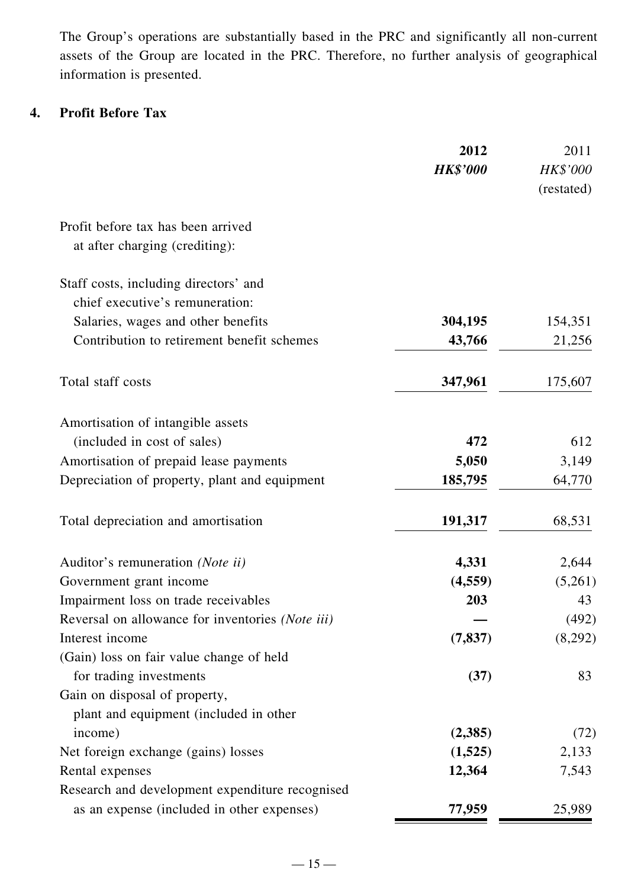The Group's operations are substantially based in the PRC and significantly all non-current assets of the Group are located in the PRC. Therefore, no further analysis of geographical information is presented.

# **4. Profit Before Tax**

|                                                  | 2012            | 2011       |
|--------------------------------------------------|-----------------|------------|
|                                                  | <b>HK\$'000</b> | HK\$'000   |
|                                                  |                 | (restated) |
| Profit before tax has been arrived               |                 |            |
| at after charging (crediting):                   |                 |            |
| Staff costs, including directors' and            |                 |            |
| chief executive's remuneration:                  |                 |            |
| Salaries, wages and other benefits               | 304,195         | 154,351    |
| Contribution to retirement benefit schemes       | 43,766          | 21,256     |
| Total staff costs                                | 347,961         | 175,607    |
| Amortisation of intangible assets                |                 |            |
| (included in cost of sales)                      | 472             | 612        |
| Amortisation of prepaid lease payments           | 5,050           | 3,149      |
| Depreciation of property, plant and equipment    | 185,795         | 64,770     |
| Total depreciation and amortisation              | 191,317         | 68,531     |
| Auditor's remuneration (Note ii)                 | 4,331           | 2,644      |
| Government grant income                          | (4, 559)        | (5,261)    |
| Impairment loss on trade receivables             | 203             | 43         |
| Reversal on allowance for inventories (Note iii) |                 | (492)      |
| Interest income                                  | (7, 837)        | (8,292)    |
| (Gain) loss on fair value change of held         |                 |            |
| for trading investments                          | (37)            | 83         |
| Gain on disposal of property,                    |                 |            |
| plant and equipment (included in other           |                 |            |
| income)                                          | (2,385)         | (72)       |
| Net foreign exchange (gains) losses              | (1,525)         | 2,133      |
| Rental expenses                                  | 12,364          | 7,543      |
| Research and development expenditure recognised  |                 |            |
| as an expense (included in other expenses)       | 77,959          | 25,989     |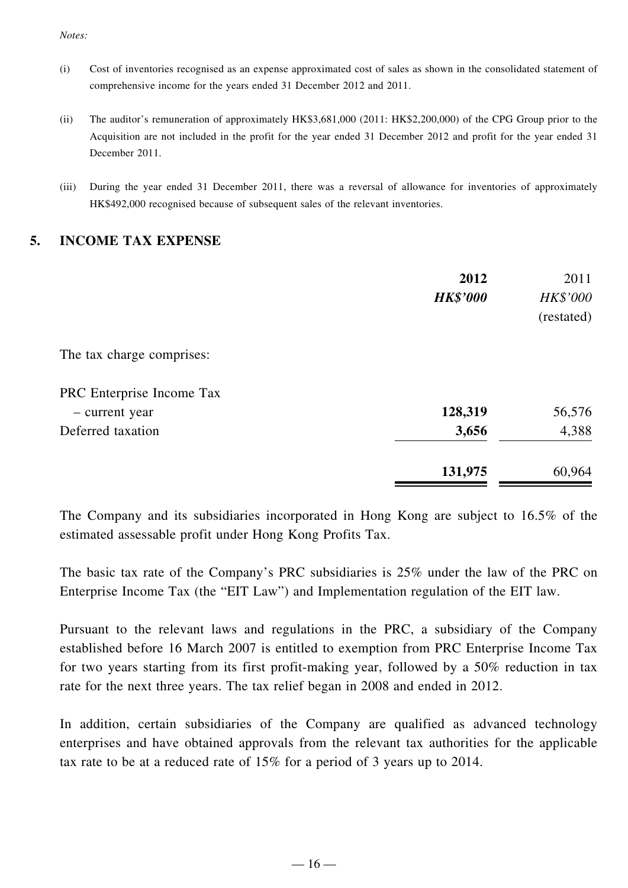*Notes:*

- (i) Cost of inventories recognised as an expense approximated cost of sales as shown in the consolidated statement of comprehensive income for the years ended 31 December 2012 and 2011.
- (ii) The auditor's remuneration of approximately HK\$3,681,000 (2011: HK\$2,200,000) of the CPG Group prior to the Acquisition are not included in the profit for the year ended 31 December 2012 and profit for the year ended 31 December 2011.
- (iii) During the year ended 31 December 2011, there was a reversal of allowance for inventories of approximately HK\$492,000 recognised because of subsequent sales of the relevant inventories.

#### **5. INCOME TAX EXPENSE**

|                           | 2012            | 2011            |
|---------------------------|-----------------|-----------------|
|                           | <b>HK\$'000</b> | <b>HK\$'000</b> |
|                           |                 | (restated)      |
| The tax charge comprises: |                 |                 |
| PRC Enterprise Income Tax |                 |                 |
| - current year            | 128,319         | 56,576          |
| Deferred taxation         | 3,656           | 4,388           |
|                           | 131,975         | 60,964          |

The Company and its subsidiaries incorporated in Hong Kong are subject to 16.5% of the estimated assessable profit under Hong Kong Profits Tax.

The basic tax rate of the Company's PRC subsidiaries is 25% under the law of the PRC on Enterprise Income Tax (the "EIT Law") and Implementation regulation of the EIT law.

Pursuant to the relevant laws and regulations in the PRC, a subsidiary of the Company established before 16 March 2007 is entitled to exemption from PRC Enterprise Income Tax for two years starting from its first profit-making year, followed by a 50% reduction in tax rate for the next three years. The tax relief began in 2008 and ended in 2012.

In addition, certain subsidiaries of the Company are qualified as advanced technology enterprises and have obtained approvals from the relevant tax authorities for the applicable tax rate to be at a reduced rate of 15% for a period of 3 years up to 2014.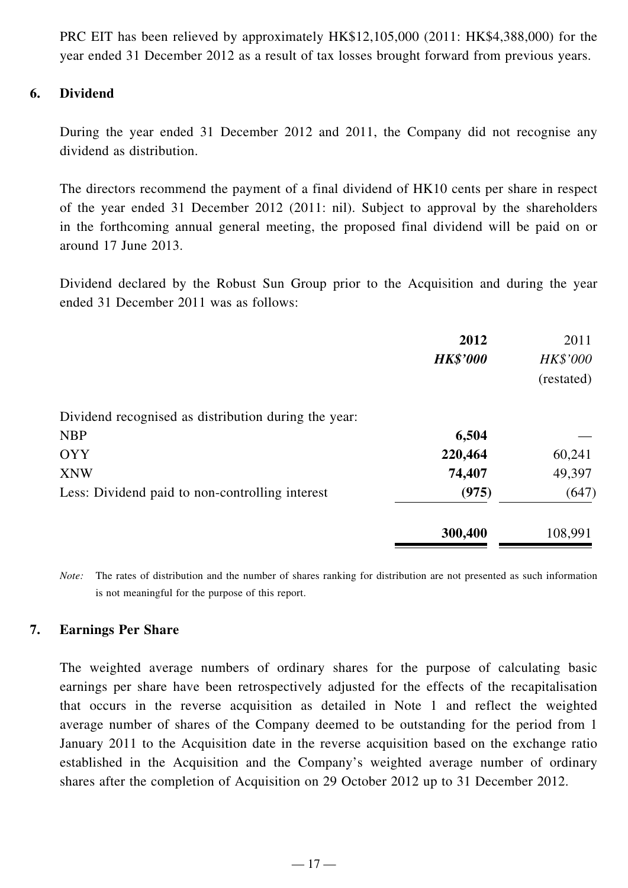PRC EIT has been relieved by approximately HK\$12,105,000 (2011: HK\$4,388,000) for the year ended 31 December 2012 as a result of tax losses brought forward from previous years.

#### **6. Dividend**

During the year ended 31 December 2012 and 2011, the Company did not recognise any dividend as distribution.

The directors recommend the payment of a final dividend of HK10 cents per share in respect of the year ended 31 December 2012 (2011: nil). Subject to approval by the shareholders in the forthcoming annual general meeting, the proposed final dividend will be paid on or around 17 June 2013.

Dividend declared by the Robust Sun Group prior to the Acquisition and during the year ended 31 December 2011 was as follows:

|                                                      | 2012<br><b>HK\$'000</b> | 2011<br><b>HK\$'000</b><br>(restated) |
|------------------------------------------------------|-------------------------|---------------------------------------|
| Dividend recognised as distribution during the year: |                         |                                       |
| <b>NBP</b>                                           | 6,504                   |                                       |
| <b>OYY</b>                                           | 220,464                 | 60,241                                |
| <b>XNW</b>                                           | 74,407                  | 49,397                                |
| Less: Dividend paid to non-controlling interest      | (975)                   | (647)                                 |
|                                                      | 300,400                 | 108,991                               |

*Note:* The rates of distribution and the number of shares ranking for distribution are not presented as such information is not meaningful for the purpose of this report.

#### **7. Earnings Per Share**

The weighted average numbers of ordinary shares for the purpose of calculating basic earnings per share have been retrospectively adjusted for the effects of the recapitalisation that occurs in the reverse acquisition as detailed in Note 1 and reflect the weighted average number of shares of the Company deemed to be outstanding for the period from 1 January 2011 to the Acquisition date in the reverse acquisition based on the exchange ratio established in the Acquisition and the Company's weighted average number of ordinary shares after the completion of Acquisition on 29 October 2012 up to 31 December 2012.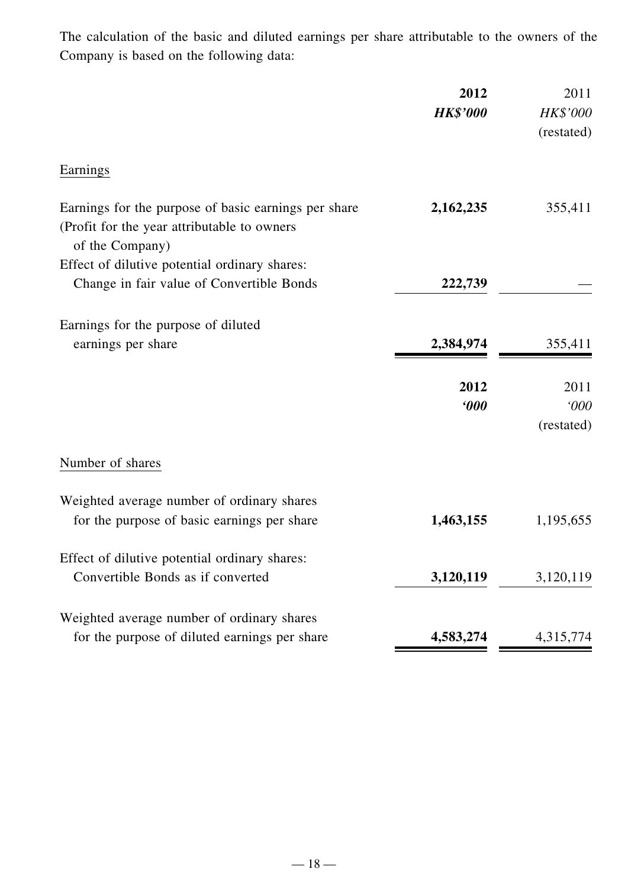The calculation of the basic and diluted earnings per share attributable to the owners of the Company is based on the following data:

|                                                                                                                        | 2012<br><b>HK\$'000</b>    | 2011<br><b>HK\$'000</b><br>(restated) |
|------------------------------------------------------------------------------------------------------------------------|----------------------------|---------------------------------------|
| Earnings                                                                                                               |                            |                                       |
| Earnings for the purpose of basic earnings per share<br>(Profit for the year attributable to owners<br>of the Company) | 2,162,235                  | 355,411                               |
| Effect of dilutive potential ordinary shares:<br>Change in fair value of Convertible Bonds                             | 222,739                    |                                       |
| Earnings for the purpose of diluted<br>earnings per share                                                              | 2,384,974                  | 355,411                               |
|                                                                                                                        | 2012<br>$\boldsymbol{000}$ | 2011<br>000<br>(restated)             |
| Number of shares                                                                                                       |                            |                                       |
| Weighted average number of ordinary shares<br>for the purpose of basic earnings per share                              | 1,463,155                  | 1,195,655                             |
| Effect of dilutive potential ordinary shares:<br>Convertible Bonds as if converted                                     | 3,120,119                  | 3,120,119                             |
| Weighted average number of ordinary shares<br>for the purpose of diluted earnings per share                            | 4,583,274                  | 4,315,774                             |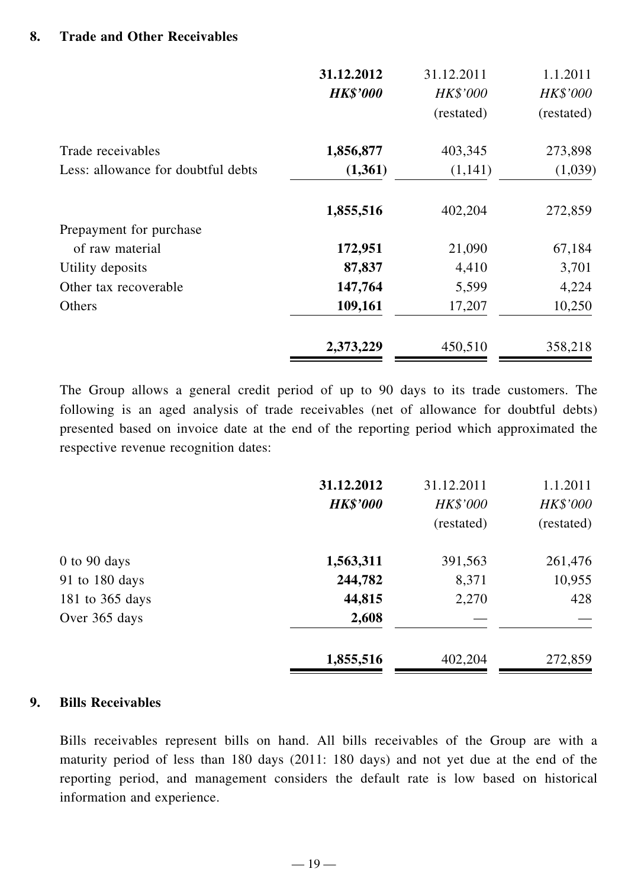|                                    | 31.12.2012<br><b>HK\$'000</b> | 31.12.2011<br><b>HK\$'000</b><br>(restated) | 1.1.2011<br><b>HK\$'000</b><br>(restated) |
|------------------------------------|-------------------------------|---------------------------------------------|-------------------------------------------|
| Trade receivables                  | 1,856,877                     | 403,345                                     | 273,898                                   |
| Less: allowance for doubtful debts | (1,361)                       | (1,141)                                     | (1,039)                                   |
|                                    | 1,855,516                     | 402,204                                     | 272,859                                   |
| Prepayment for purchase            |                               |                                             |                                           |
| of raw material                    | 172,951                       | 21,090                                      | 67,184                                    |
| Utility deposits                   | 87,837                        | 4,410                                       | 3,701                                     |
| Other tax recoverable              | 147,764                       | 5,599                                       | 4,224                                     |
| Others                             | 109,161                       | 17,207                                      | 10,250                                    |
|                                    | 2,373,229                     | 450,510                                     | 358,218                                   |

The Group allows a general credit period of up to 90 days to its trade customers. The following is an aged analysis of trade receivables (net of allowance for doubtful debts) presented based on invoice date at the end of the reporting period which approximated the respective revenue recognition dates:

|                  | 31.12.2012<br><b>HK\$'000</b> | 31.12.2011<br><b>HK\$'000</b><br>(restated) | 1.1.2011<br><b>HK\$'000</b><br>(restated) |
|------------------|-------------------------------|---------------------------------------------|-------------------------------------------|
|                  |                               |                                             |                                           |
| $0$ to $90$ days | 1,563,311                     | 391,563                                     | 261,476                                   |
| 91 to 180 days   | 244,782                       | 8,371                                       | 10,955                                    |
| 181 to 365 days  | 44,815                        | 2,270                                       | 428                                       |
| Over 365 days    | 2,608                         |                                             |                                           |
|                  | 1,855,516                     | 402,204                                     | 272,859                                   |

#### **9. Bills Receivables**

Bills receivables represent bills on hand. All bills receivables of the Group are with a maturity period of less than 180 days (2011: 180 days) and not yet due at the end of the reporting period, and management considers the default rate is low based on historical information and experience.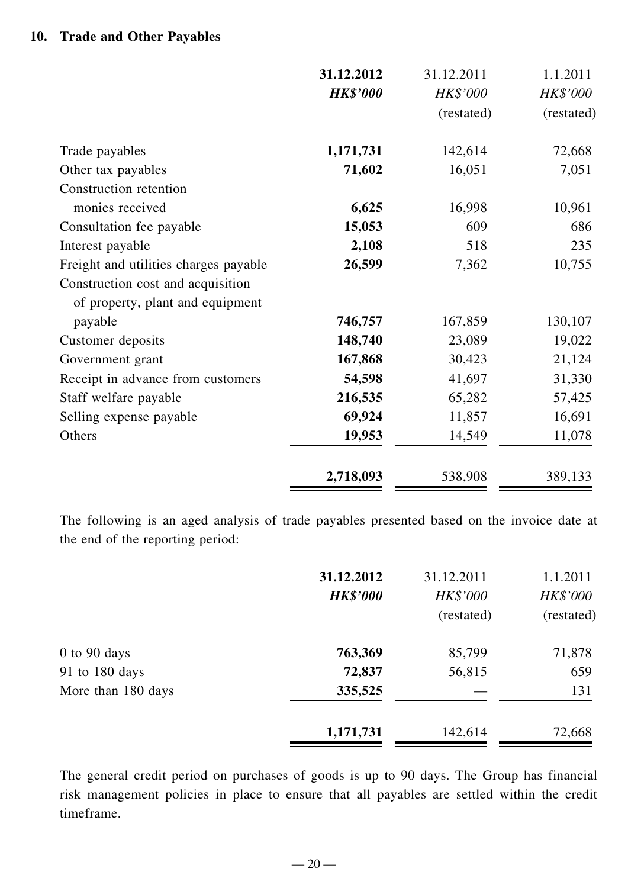### **10. Trade and Other Payables**

|                                       | 31.12.2012      | 31.12.2011 | 1.1.2011   |
|---------------------------------------|-----------------|------------|------------|
|                                       | <b>HK\$'000</b> | HK\$'000   | HK\$'000   |
|                                       |                 | (restated) | (restated) |
| Trade payables                        | 1,171,731       | 142,614    | 72,668     |
| Other tax payables                    | 71,602          | 16,051     | 7,051      |
| Construction retention                |                 |            |            |
| monies received                       | 6,625           | 16,998     | 10,961     |
| Consultation fee payable              | 15,053          | 609        | 686        |
| Interest payable                      | 2,108           | 518        | 235        |
| Freight and utilities charges payable | 26,599          | 7,362      | 10,755     |
| Construction cost and acquisition     |                 |            |            |
| of property, plant and equipment      |                 |            |            |
| payable                               | 746,757         | 167,859    | 130,107    |
| Customer deposits                     | 148,740         | 23,089     | 19,022     |
| Government grant                      | 167,868         | 30,423     | 21,124     |
| Receipt in advance from customers     | 54,598          | 41,697     | 31,330     |
| Staff welfare payable                 | 216,535         | 65,282     | 57,425     |
| Selling expense payable               | 69,924          | 11,857     | 16,691     |
| Others                                | 19,953          | 14,549     | 11,078     |
|                                       | 2,718,093       | 538,908    | 389,133    |

The following is an aged analysis of trade payables presented based on the invoice date at the end of the reporting period:

|                    | 31.12.2012      | 31.12.2011      | 1.1.2011        |
|--------------------|-----------------|-----------------|-----------------|
|                    | <b>HK\$'000</b> | <b>HK\$'000</b> | <b>HK\$'000</b> |
|                    |                 | (restated)      | (restated)      |
| $0$ to $90$ days   | 763,369         | 85,799          | 71,878          |
| 91 to 180 days     | 72,837          | 56,815          | 659             |
| More than 180 days | 335,525         |                 | 131             |
|                    | 1,171,731       | 142,614         | 72,668          |

The general credit period on purchases of goods is up to 90 days. The Group has financial risk management policies in place to ensure that all payables are settled within the credit timeframe.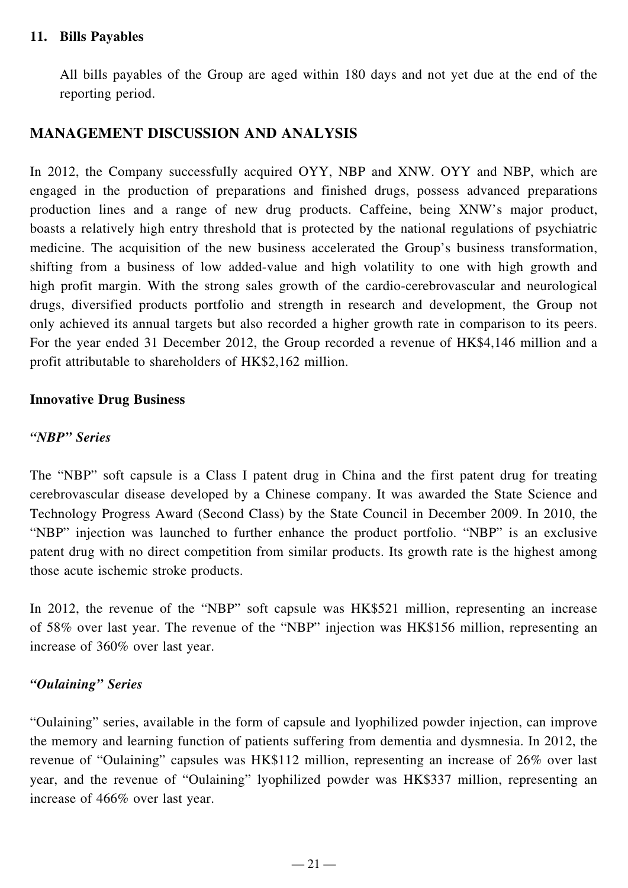### **11. Bills Payables**

All bills payables of the Group are aged within 180 days and not yet due at the end of the reporting period.

### **MANAGEMENT DISCUSSION AND ANALYSIS**

In 2012, the Company successfully acquired OYY, NBP and XNW. OYY and NBP, which are engaged in the production of preparations and finished drugs, possess advanced preparations production lines and a range of new drug products. Caffeine, being XNW's major product, boasts a relatively high entry threshold that is protected by the national regulations of psychiatric medicine. The acquisition of the new business accelerated the Group's business transformation, shifting from a business of low added-value and high volatility to one with high growth and high profit margin. With the strong sales growth of the cardio-cerebrovascular and neurological drugs, diversified products portfolio and strength in research and development, the Group not only achieved its annual targets but also recorded a higher growth rate in comparison to its peers. For the year ended 31 December 2012, the Group recorded a revenue of HK\$4,146 million and a profit attributable to shareholders of HK\$2,162 million.

#### **Innovative Drug Business**

#### *"NBP" Series*

The "NBP" soft capsule is a Class I patent drug in China and the first patent drug for treating cerebrovascular disease developed by a Chinese company. It was awarded the State Science and Technology Progress Award (Second Class) by the State Council in December 2009. In 2010, the "NBP" injection was launched to further enhance the product portfolio. "NBP" is an exclusive patent drug with no direct competition from similar products. Its growth rate is the highest among those acute ischemic stroke products.

In 2012, the revenue of the "NBP" soft capsule was HK\$521 million, representing an increase of 58% over last year. The revenue of the "NBP" injection was HK\$156 million, representing an increase of 360% over last year.

#### *"Oulaining" Series*

"Oulaining" series, available in the form of capsule and lyophilized powder injection, can improve the memory and learning function of patients suffering from dementia and dysmnesia. In 2012, the revenue of "Oulaining" capsules was HK\$112 million, representing an increase of 26% over last year, and the revenue of "Oulaining" lyophilized powder was HK\$337 million, representing an increase of 466% over last year.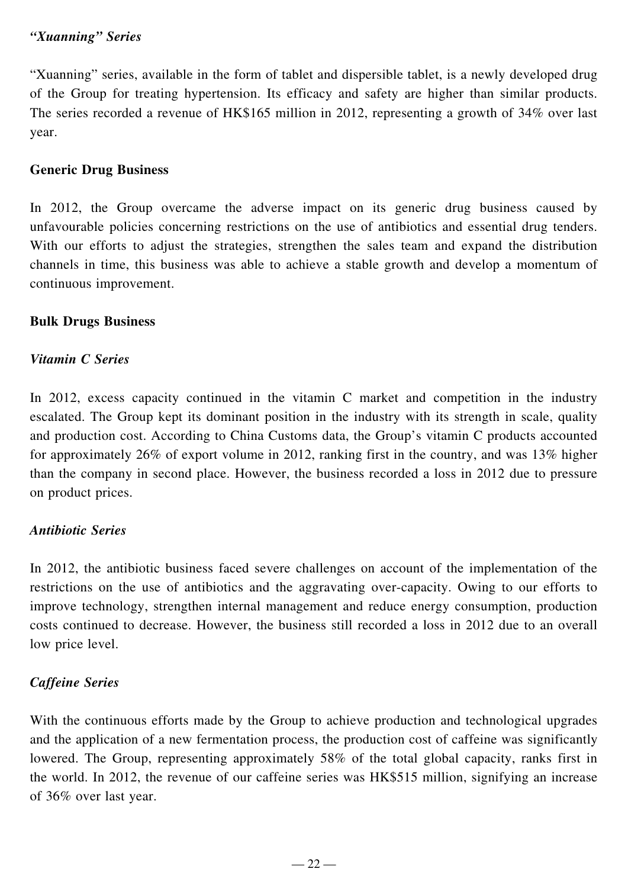### *"Xuanning" Series*

"Xuanning" series, available in the form of tablet and dispersible tablet, is a newly developed drug of the Group for treating hypertension. Its efficacy and safety are higher than similar products. The series recorded a revenue of HK\$165 million in 2012, representing a growth of 34% over last year.

### **Generic Drug Business**

In 2012, the Group overcame the adverse impact on its generic drug business caused by unfavourable policies concerning restrictions on the use of antibiotics and essential drug tenders. With our efforts to adjust the strategies, strengthen the sales team and expand the distribution channels in time, this business was able to achieve a stable growth and develop a momentum of continuous improvement.

### **Bulk Drugs Business**

### *Vitamin C Series*

In 2012, excess capacity continued in the vitamin C market and competition in the industry escalated. The Group kept its dominant position in the industry with its strength in scale, quality and production cost. According to China Customs data, the Group's vitamin C products accounted for approximately 26% of export volume in 2012, ranking first in the country, and was 13% higher than the company in second place. However, the business recorded a loss in 2012 due to pressure on product prices.

### *Antibiotic Series*

In 2012, the antibiotic business faced severe challenges on account of the implementation of the restrictions on the use of antibiotics and the aggravating over-capacity. Owing to our efforts to improve technology, strengthen internal management and reduce energy consumption, production costs continued to decrease. However, the business still recorded a loss in 2012 due to an overall low price level.

### *Caffeine Series*

With the continuous efforts made by the Group to achieve production and technological upgrades and the application of a new fermentation process, the production cost of caffeine was significantly lowered. The Group, representing approximately 58% of the total global capacity, ranks first in the world. In 2012, the revenue of our caffeine series was HK\$515 million, signifying an increase of 36% over last year.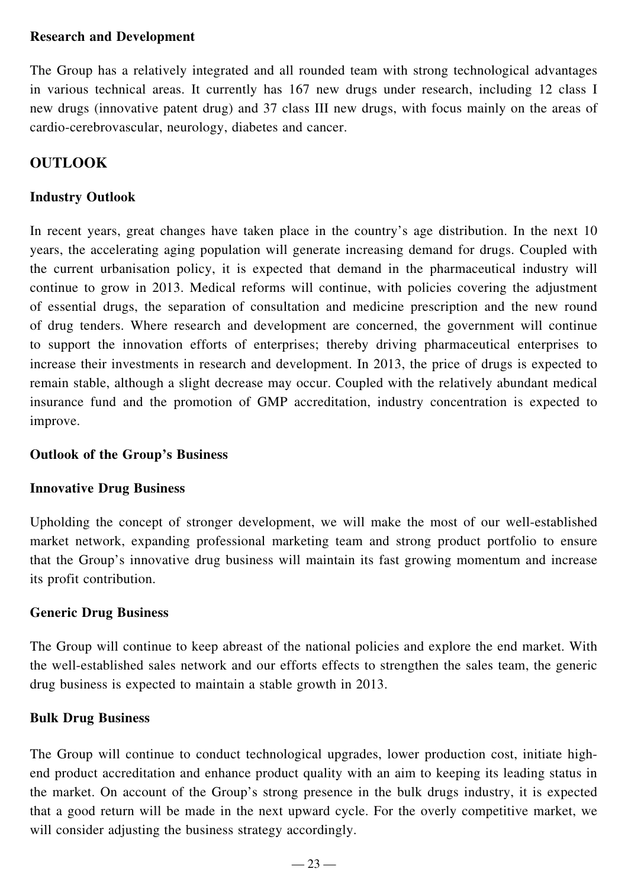### **Research and Development**

The Group has a relatively integrated and all rounded team with strong technological advantages in various technical areas. It currently has 167 new drugs under research, including 12 class I new drugs (innovative patent drug) and 37 class III new drugs, with focus mainly on the areas of cardio-cerebrovascular, neurology, diabetes and cancer.

### **OUTLOOK**

### **Industry Outlook**

In recent years, great changes have taken place in the country's age distribution. In the next 10 years, the accelerating aging population will generate increasing demand for drugs. Coupled with the current urbanisation policy, it is expected that demand in the pharmaceutical industry will continue to grow in 2013. Medical reforms will continue, with policies covering the adjustment of essential drugs, the separation of consultation and medicine prescription and the new round of drug tenders. Where research and development are concerned, the government will continue to support the innovation efforts of enterprises; thereby driving pharmaceutical enterprises to increase their investments in research and development. In 2013, the price of drugs is expected to remain stable, although a slight decrease may occur. Coupled with the relatively abundant medical insurance fund and the promotion of GMP accreditation, industry concentration is expected to improve.

### **Outlook of the Group's Business**

### **Innovative Drug Business**

Upholding the concept of stronger development, we will make the most of our well-established market network, expanding professional marketing team and strong product portfolio to ensure that the Group's innovative drug business will maintain its fast growing momentum and increase its profit contribution.

### **Generic Drug Business**

The Group will continue to keep abreast of the national policies and explore the end market. With the well-established sales network and our efforts effects to strengthen the sales team, the generic drug business is expected to maintain a stable growth in 2013.

### **Bulk Drug Business**

The Group will continue to conduct technological upgrades, lower production cost, initiate highend product accreditation and enhance product quality with an aim to keeping its leading status in the market. On account of the Group's strong presence in the bulk drugs industry, it is expected that a good return will be made in the next upward cycle. For the overly competitive market, we will consider adjusting the business strategy accordingly.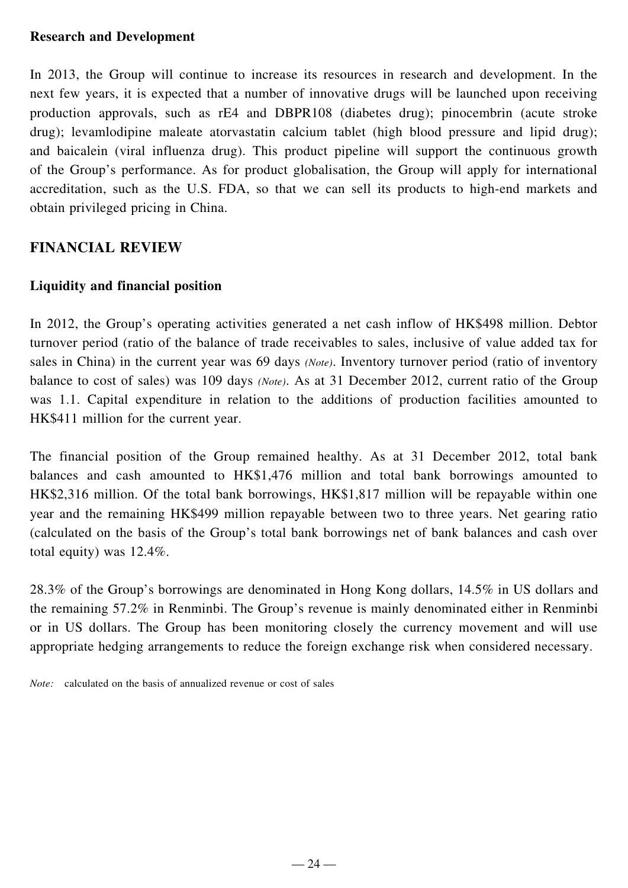#### **Research and Development**

In 2013, the Group will continue to increase its resources in research and development. In the next few years, it is expected that a number of innovative drugs will be launched upon receiving production approvals, such as rE4 and DBPR108 (diabetes drug); pinocembrin (acute stroke drug); levamlodipine maleate atorvastatin calcium tablet (high blood pressure and lipid drug); and baicalein (viral influenza drug). This product pipeline will support the continuous growth of the Group's performance. As for product globalisation, the Group will apply for international accreditation, such as the U.S. FDA, so that we can sell its products to high-end markets and obtain privileged pricing in China.

### **FINANCIAL REVIEW**

#### **Liquidity and financial position**

In 2012, the Group's operating activities generated a net cash inflow of HK\$498 million. Debtor turnover period (ratio of the balance of trade receivables to sales, inclusive of value added tax for sales in China) in the current year was 69 days *(Note)*. Inventory turnover period (ratio of inventory balance to cost of sales) was 109 days *(Note)*. As at 31 December 2012, current ratio of the Group was 1.1. Capital expenditure in relation to the additions of production facilities amounted to HK\$411 million for the current year.

The financial position of the Group remained healthy. As at 31 December 2012, total bank balances and cash amounted to HK\$1,476 million and total bank borrowings amounted to HK\$2,316 million. Of the total bank borrowings, HK\$1,817 million will be repayable within one year and the remaining HK\$499 million repayable between two to three years. Net gearing ratio (calculated on the basis of the Group's total bank borrowings net of bank balances and cash over total equity) was 12.4%.

28.3% of the Group's borrowings are denominated in Hong Kong dollars, 14.5% in US dollars and the remaining 57.2% in Renminbi. The Group's revenue is mainly denominated either in Renminbi or in US dollars. The Group has been monitoring closely the currency movement and will use appropriate hedging arrangements to reduce the foreign exchange risk when considered necessary.

*Note:* calculated on the basis of annualized revenue or cost of sales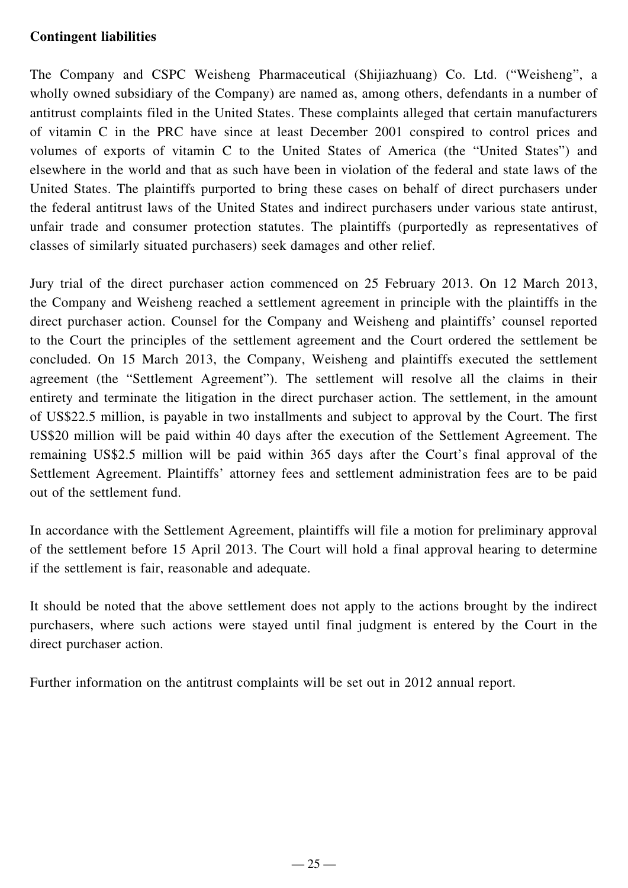### **Contingent liabilities**

The Company and CSPC Weisheng Pharmaceutical (Shijiazhuang) Co. Ltd. ("Weisheng", a wholly owned subsidiary of the Company) are named as, among others, defendants in a number of antitrust complaints filed in the United States. These complaints alleged that certain manufacturers of vitamin C in the PRC have since at least December 2001 conspired to control prices and volumes of exports of vitamin C to the United States of America (the "United States") and elsewhere in the world and that as such have been in violation of the federal and state laws of the United States. The plaintiffs purported to bring these cases on behalf of direct purchasers under the federal antitrust laws of the United States and indirect purchasers under various state antirust, unfair trade and consumer protection statutes. The plaintiffs (purportedly as representatives of classes of similarly situated purchasers) seek damages and other relief.

Jury trial of the direct purchaser action commenced on 25 February 2013. On 12 March 2013, the Company and Weisheng reached a settlement agreement in principle with the plaintiffs in the direct purchaser action. Counsel for the Company and Weisheng and plaintiffs' counsel reported to the Court the principles of the settlement agreement and the Court ordered the settlement be concluded. On 15 March 2013, the Company, Weisheng and plaintiffs executed the settlement agreement (the "Settlement Agreement"). The settlement will resolve all the claims in their entirety and terminate the litigation in the direct purchaser action. The settlement, in the amount of US\$22.5 million, is payable in two installments and subject to approval by the Court. The first US\$20 million will be paid within 40 days after the execution of the Settlement Agreement. The remaining US\$2.5 million will be paid within 365 days after the Court's final approval of the Settlement Agreement. Plaintiffs' attorney fees and settlement administration fees are to be paid out of the settlement fund.

In accordance with the Settlement Agreement, plaintiffs will file a motion for preliminary approval of the settlement before 15 April 2013. The Court will hold a final approval hearing to determine if the settlement is fair, reasonable and adequate.

It should be noted that the above settlement does not apply to the actions brought by the indirect purchasers, where such actions were stayed until final judgment is entered by the Court in the direct purchaser action.

Further information on the antitrust complaints will be set out in 2012 annual report.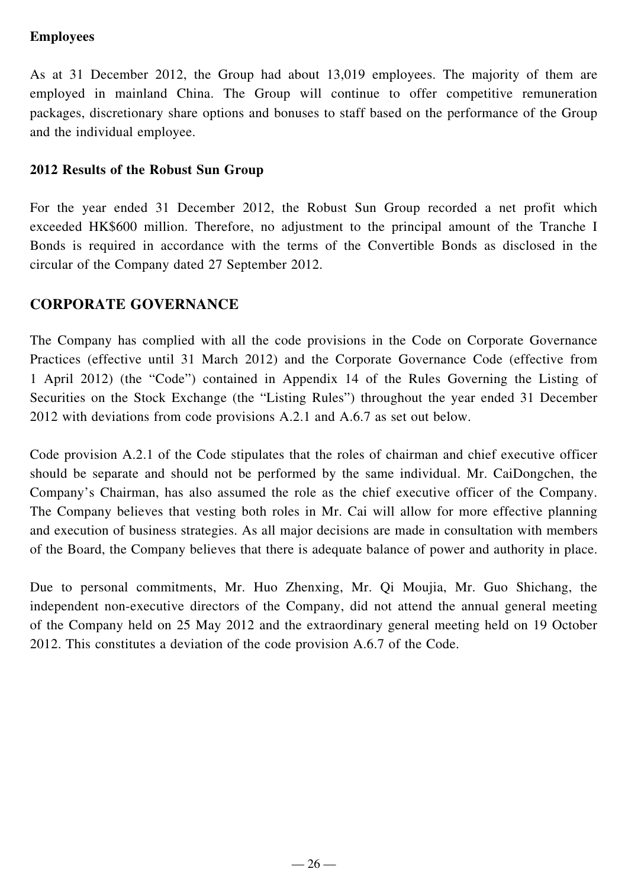### **Employees**

As at 31 December 2012, the Group had about 13,019 employees. The majority of them are employed in mainland China. The Group will continue to offer competitive remuneration packages, discretionary share options and bonuses to staff based on the performance of the Group and the individual employee.

### **2012 Results of the Robust Sun Group**

For the year ended 31 December 2012, the Robust Sun Group recorded a net profit which exceeded HK\$600 million. Therefore, no adjustment to the principal amount of the Tranche I Bonds is required in accordance with the terms of the Convertible Bonds as disclosed in the circular of the Company dated 27 September 2012.

### **CORPORATE GOVERNANCE**

The Company has complied with all the code provisions in the Code on Corporate Governance Practices (effective until 31 March 2012) and the Corporate Governance Code (effective from 1 April 2012) (the "Code") contained in Appendix 14 of the Rules Governing the Listing of Securities on the Stock Exchange (the "Listing Rules") throughout the year ended 31 December 2012 with deviations from code provisions A.2.1 and A.6.7 as set out below.

Code provision A.2.1 of the Code stipulates that the roles of chairman and chief executive officer should be separate and should not be performed by the same individual. Mr. CaiDongchen, the Company's Chairman, has also assumed the role as the chief executive officer of the Company. The Company believes that vesting both roles in Mr. Cai will allow for more effective planning and execution of business strategies. As all major decisions are made in consultation with members of the Board, the Company believes that there is adequate balance of power and authority in place.

Due to personal commitments, Mr. Huo Zhenxing, Mr. Qi Moujia, Mr. Guo Shichang, the independent non-executive directors of the Company, did not attend the annual general meeting of the Company held on 25 May 2012 and the extraordinary general meeting held on 19 October 2012. This constitutes a deviation of the code provision A.6.7 of the Code.